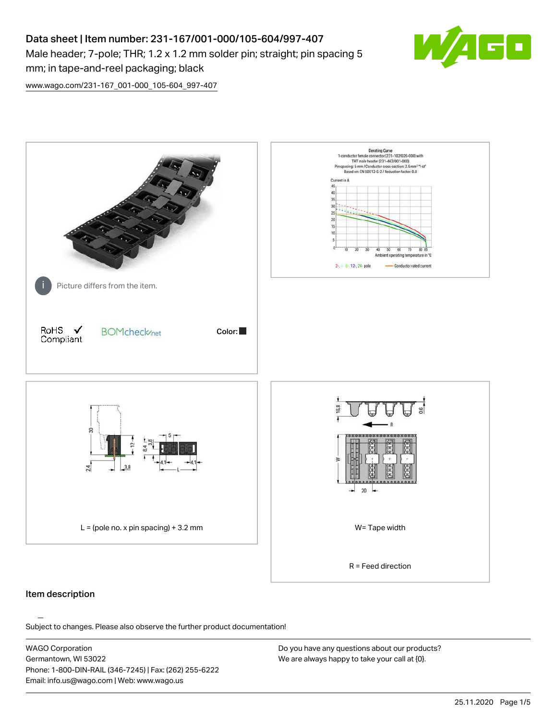# Data sheet | Item number: 231-167/001-000/105-604/997-407 Male header; 7-pole; THR; 1.2 x 1.2 mm solder pin; straight; pin spacing 5 mm; in tape-and-reel packaging; black



[www.wago.com/231-167\\_001-000\\_105-604\\_997-407](http://www.wago.com/231-167_001-000_105-604_997-407)



### Item description

Subject to changes. Please also observe the further product documentation!

WAGO Corporation Germantown, WI 53022 Phone: 1-800-DIN-RAIL (346-7245) | Fax: (262) 255-6222 Email: info.us@wago.com | Web: www.wago.us

Do you have any questions about our products? We are always happy to take your call at {0}.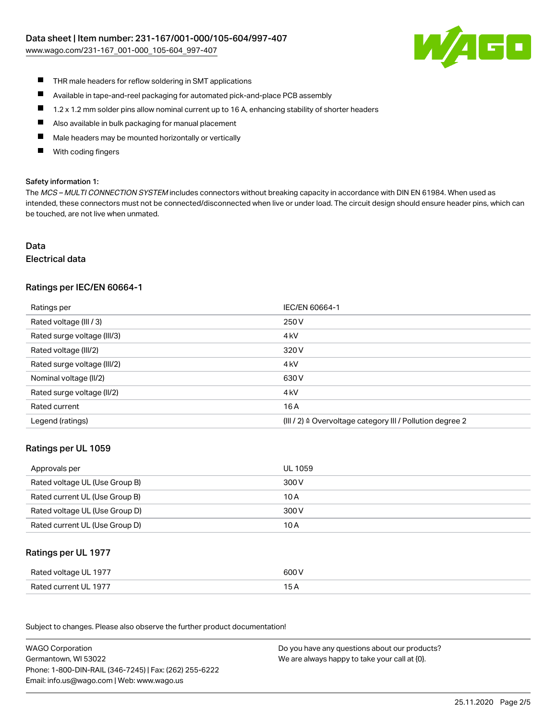[www.wago.com/231-167\\_001-000\\_105-604\\_997-407](http://www.wago.com/231-167_001-000_105-604_997-407)



- $\blacksquare$ THR male headers for reflow soldering in SMT applications
- $\blacksquare$ Available in tape-and-reel packaging for automated pick-and-place PCB assembly
- $\blacksquare$ 1.2 x 1.2 mm solder pins allow nominal current up to 16 A, enhancing stability of shorter headers
- $\blacksquare$ Also available in bulk packaging for manual placement
- П Male headers may be mounted horizontally or vertically
- With coding fingers П

#### Safety information 1:

The MCS - MULTI CONNECTION SYSTEM includes connectors without breaking capacity in accordance with DIN EN 61984. When used as intended, these connectors must not be connected/disconnected when live or under load. The circuit design should ensure header pins, which can be touched, are not live when unmated.

# Data

#### Electrical data

### Ratings per IEC/EN 60664-1

| Ratings per                 | IEC/EN 60664-1                                            |
|-----------------------------|-----------------------------------------------------------|
| Rated voltage (III / 3)     | 250 V                                                     |
| Rated surge voltage (III/3) | 4 <sub>k</sub> V                                          |
| Rated voltage (III/2)       | 320 V                                                     |
| Rated surge voltage (III/2) | 4 <sub>k</sub> V                                          |
| Nominal voltage (II/2)      | 630 V                                                     |
| Rated surge voltage (II/2)  | 4 <sub>k</sub> V                                          |
| Rated current               | 16 A                                                      |
| Legend (ratings)            | (III / 2) ≙ Overvoltage category III / Pollution degree 2 |

#### Ratings per UL 1059

| Approvals per                  | UL 1059 |
|--------------------------------|---------|
| Rated voltage UL (Use Group B) | 300 V   |
| Rated current UL (Use Group B) | 10 A    |
| Rated voltage UL (Use Group D) | 300 V   |
| Rated current UL (Use Group D) | 10 A    |

#### Ratings per UL 1977

| Rated voltage UL 1977 | 600 V |
|-----------------------|-------|
| Rated current UL 1977 |       |

Subject to changes. Please also observe the further product documentation! Ratings per CSA

| <b>WAGO Corporation</b>                                | Do you have any questions about our products? |
|--------------------------------------------------------|-----------------------------------------------|
| Germantown, WI 53022                                   | We are always happy to take your call at {0}. |
| Phone: 1-800-DIN-RAIL (346-7245)   Fax: (262) 255-6222 |                                               |
| Email: info.us@wago.com   Web: www.wago.us             |                                               |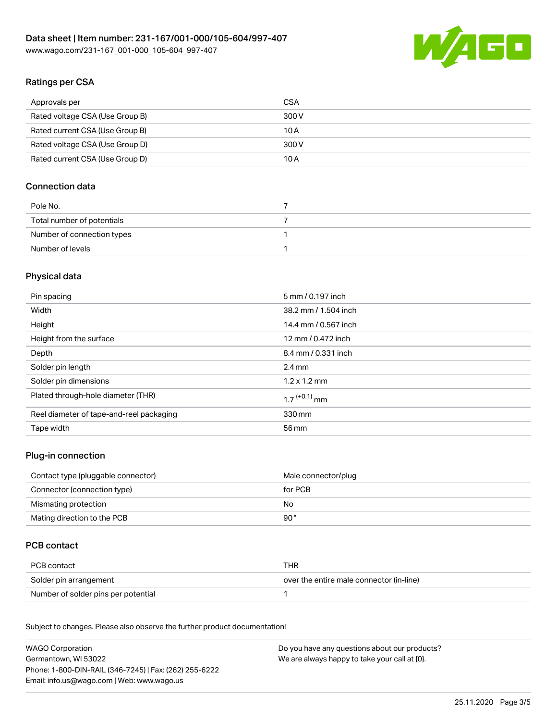

# Ratings per CSA

| Approvals per                   | CSA   |
|---------------------------------|-------|
| Rated voltage CSA (Use Group B) | 300 V |
| Rated current CSA (Use Group B) | 10 A  |
| Rated voltage CSA (Use Group D) | 300 V |
| Rated current CSA (Use Group D) | 10 A  |

### Connection data

| Pole No.                   |  |
|----------------------------|--|
| Total number of potentials |  |
| Number of connection types |  |
| Number of levels           |  |

# Physical data

| Pin spacing                              | 5 mm / 0.197 inch          |
|------------------------------------------|----------------------------|
| Width                                    | 38.2 mm / 1.504 inch       |
| Height                                   | 14.4 mm / 0.567 inch       |
| Height from the surface                  | 12 mm / 0.472 inch         |
| Depth                                    | 8.4 mm / 0.331 inch        |
| Solder pin length                        | $2.4 \text{ mm}$           |
| Solder pin dimensions                    | $1.2 \times 1.2$ mm        |
| Plated through-hole diameter (THR)       | $1.7$ <sup>(+0.1)</sup> mm |
| Reel diameter of tape-and-reel packaging | 330 mm                     |
| Tape width                               | 56 mm                      |

### Plug-in connection

| Contact type (pluggable connector) | Male connector/plug |
|------------------------------------|---------------------|
| Connector (connection type)        | for PCB             |
| Mismating protection               | No.                 |
| Mating direction to the PCB        | 90 °                |

### PCB contact

| PCB contact                         | THR                                      |
|-------------------------------------|------------------------------------------|
| Solder pin arrangement              | over the entire male connector (in-line) |
| Number of solder pins per potential |                                          |

Subject to changes. Please also observe the further product documentation! Material Data

| <b>WAGO Corporation</b>                                | Do you have any questions about our products? |
|--------------------------------------------------------|-----------------------------------------------|
| Germantown, WI 53022                                   | We are always happy to take your call at {0}. |
| Phone: 1-800-DIN-RAIL (346-7245)   Fax: (262) 255-6222 |                                               |
| Email: info.us@wago.com   Web: www.wago.us             |                                               |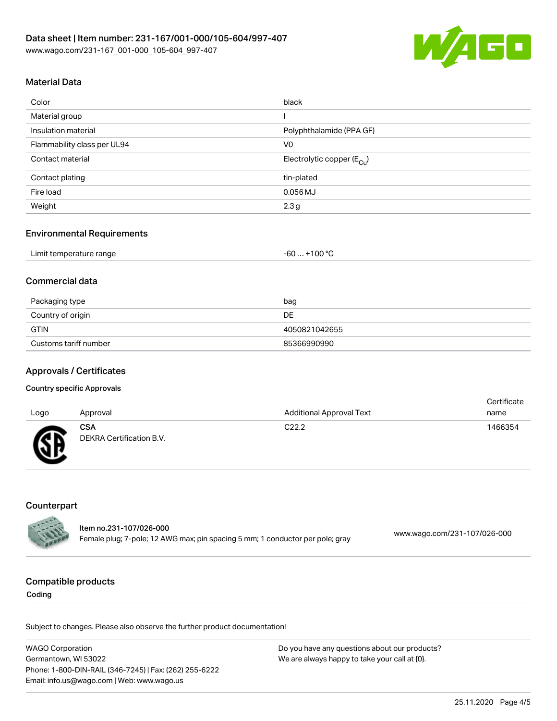

# Material Data

| Color                       | black                                 |
|-----------------------------|---------------------------------------|
| Material group              |                                       |
| Insulation material         | Polyphthalamide (PPA GF)              |
| Flammability class per UL94 | V <sub>0</sub>                        |
| Contact material            | Electrolytic copper $(E_{\text{Cl}})$ |
| Contact plating             | tin-plated                            |
| Fire load                   | $0.056$ MJ                            |
| Weight                      | 2.3 <sub>g</sub>                      |

#### Environmental Requirements

| Limit temperature range | $\dots$ +100 °C .<br>-60 |  |
|-------------------------|--------------------------|--|
|                         |                          |  |

### Commercial data

| Packaging type        | bag           |
|-----------------------|---------------|
| Country of origin     | DE.           |
| <b>GTIN</b>           | 4050821042655 |
| Customs tariff number | 85366990990   |

### Approvals / Certificates

#### Country specific Approvals

| Logo         | Approval                               | <b>Additional Approval Text</b> | Certificate<br>name |
|--------------|----------------------------------------|---------------------------------|---------------------|
| $\mathbb{C}$ | <b>CSA</b><br>DEKRA Certification B.V. | C <sub>22.2</sub>               | 1466354             |

### **Counterpart**

| <b>CALLER</b> | Item no.231-107/026-000                                                       |                              |  |
|---------------|-------------------------------------------------------------------------------|------------------------------|--|
|               | Female plug; 7-pole; 12 AWG max; pin spacing 5 mm; 1 conductor per pole; gray | www.wago.com/231-107/026-000 |  |

#### Compatible products

Coding

Subject to changes. Please also observe the further product documentation!

WAGO Corporation Germantown, WI 53022 Phone: 1-800-DIN-RAIL (346-7245) | Fax: (262) 255-6222 Email: info.us@wago.com | Web: www.wago.us Do you have any questions about our products? We are always happy to take your call at {0}.